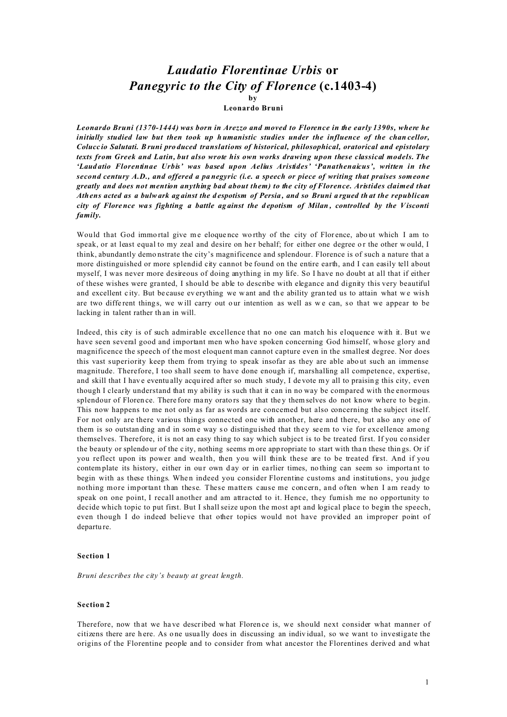# *Laudatio Florentinae Urbis* **or** *Panegyric to the City of Florence* **(c.1403-4)**

**by**

**Leonardo Bruni**

*Leonardo Bruni (1370-1444) was born in Arezzo and moved to Florence in the early 1390s, where he initially studied law but then took up h umanistic studies under the influence of the chan cellor, Colucc io Salutati. Bruni pro duced translations of historical, philosophical, oratorical and epistolary texts from Greek and Latin, but also wrote his own works drawing upon these classical models. The 'Laud atio Florentinae Urbis' was based upon Aelius Aristides' 'Panathenaicus', written in the second century A.D., and offered a pa negyric (i.e. a speech or piece of writing that praises someone greatly and does not mention anything bad about them) to the city of Florence. Aristides claimed that Athens acted as a bulwark ag ainst the d espotism of Persia , and so Bruni a rgued th at the republican city of Flore nce wa s fighting a battle ag ainst the d epotism of Milan , controlled by the Visconti family.*

Would that God immortal give me eloquence worthy of the city of Florence, about which I am to speak, or at least equal to my zeal and desire on her behalf; for either one degree or the other w ould, I think, abundantly demo nstrate the city's magnificence and splendour. Florence is of such a nature that a more distinguished or more splendid city cannot be found on the entire earth, and I can easily tell about myself, I was never more desireous of doing anything in my life. So I have no doubt at all that if either of these wishes were granted, I should be able to describe with elegance and dignity this very beautiful and excellent city. But because everything we want and the ability granted us to attain what we wish are two different things, we will carry out our intention as well as we can, so that we appear to be lacking in talent rather than in will.

Indeed, this city is of such admirable excellence that no one can match his eloquence with it. But we have seen several good and important men who have spoken concerning God himself, whose glory and magnificence the speech of the most eloquent man cannot capture even in the smallest degree. Nor does this vast superiority keep them from trying to speak insofar as they are able abo ut such an immense magnitude. Therefore, I too shall seem to have done enough if, marshalling all competence, expertise, and skill that I have eventually acquired after so much study, I devote my all to praising this city, even though I clearly understand that my ability is such that it can in no way be compared with the enormous splendour of Floren ce. There fore many orators say that they themselves do not know where to begin. This now happens to me not only as far as words are concerned but also concerning the subject itself. For not only are there various things connected one with another, here and there, but also any one of them is so outstanding and in some way so distinguished that they seem to vie for excellence among themselves. Therefore, it is not an easy thing to say which subject is to be treated first. If you co nsider the beauty or splendo ur of the city, nothing seems m ore appropriate to start with than these things. Or if you reflect upon its power and wealth, then you will think these are to be treated first. And if you contem plate its history, either in our own day or in earlier times, no thing can seem so important to begin with as these things. When indeed you consider Florentine customs and institutions, you judge nothing more important than these. These matters cause me concern, and often when I am ready to speak on one point, I recall another and am attracted to it. Hence, they furnish me no opportunity to decide which topic to put first. But I shall seize upon the most apt and logical place to begin the speech, even though I do indeed believe that other topics would not have provided an improper point of departu re.

## **Section 1**

*Bruni describes the city's beauty at great length.*

# **Section 2**

Therefore, now that we have described what Florence is, we should next consider what manner of citizens there are h ere. As o ne usua lly does in discussing an indiv idual, so we want to investigate the origins of the Florentine people and to consider from what ancestor the Florentines derived and what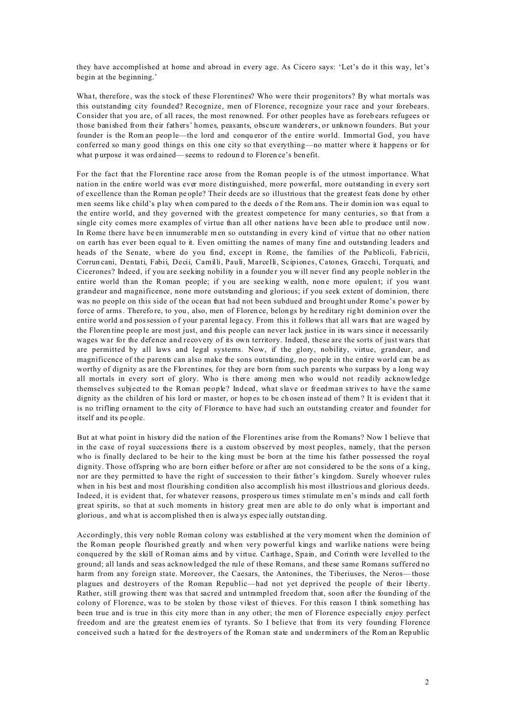they have accomplished at home and abroad in every age. As Cicero says: 'Let's do it this way, let's begin at the beginning.'

What, therefore, was the stock of these Florentines? Who were their progenitors? By what mortals was this outstanding city founded? Recognize, men of Florence, recognize your race and your forebears. Consider that you are, of all races, the most renowned. For other peoples have as foreb ears refugees or those banished from their fathers' homes, peasants, obscure wanderers, or unknown founders. But your founder is the Rom an peop le—the lord and conqueror of the entire world. Immortal God, you have conferred so many good things on this one city so that everything—no matter where it happens or for what purpose it was ordained— seems to redound to Florence's benefit.

For the fact that the Florentine race arose from the Roman people is of the utmost importance. What nation in the entire world was ever more distinguished, more powerful, more outstanding in every sort of excellence than the Roman pe ople? Their deeds are so illustrious that the greatest feats done by other men seems like child's play when compared to the deeds of the Romans. The ir domin ion was equal to the entire world, and they governed with the greatest competence for many centuries, so that from a single city comes more examples of virtue than all other nations have been able to produce until now. In Rome there have been innumerable men so outstanding in every kind of virtue that no other nation on earth has ever been equal to it. Even omitting the names of many fine and outstanding leaders and heads of the Senate, where do you find, except in Rome, the families of the Publicoli, Fabricii, Corrun cani, Dentati, Fabii, Decii, Camilli, Pauli, Marcelli, Scipiones, Catones, Gracchi, Torquati, and Cicerones? Indeed, if you are seeking nobility in a founder you will never find any people nobler in the entire world than the Roman people; if you are seeking wealth, none more opulent; if you want grandeur and magnificence, none more outstanding and glorious; if you seek extent of dominion, there was no people on this side of the ocean that had not been subdued and brought under Rome's power by force of arms. Therefo re, to you , also, men of Floren ce, belon gs by he reditary rig ht dominion over the entire world a nd possession o f your p arental lega cy. From this it follows that all wars that are waged by the Floren tine peop le are most just, and this people can never lack justice in its wars since it necessarily wages war for the defence and recovery of its own territory. Indeed, these are the sorts of just wars that are permitted by all laws and legal systems. Now, if the glory, nobility, virtue, grandeur, and magnificence of the parents can also make the sons outstanding, no people in the entire world can be as worthy of dignity as are the Florentines, for they are born from such parents who surpass by a long way all mortals in every sort of glory. Who is there among men who would not readily acknowledge themselves subjected to the Roman people? Indeed, what slave or freedman strives to have the same dignity as the children of his lord or master, or hopes to be chosen instead of them? It is evident that it is no trifling ornament to the city of Florence to have had such an outstanding creator and founder for itself and its pe ople.

But at what point in history did the nation of the Florentines arise from the Romans? Now I believe that in the case of royal successions there is a custom observed by most peoples, namely, that the person who is finally declared to be heir to the king must be born at the time his father possessed the royal dignity. Those offspring who are born either before or after are not considered to be the sons of a king, nor are they permitted to have the right of succession to their father's kingdom. Surely whoever rules when in his best and most flourishing condition also accomplish his most illustrious and glorious deeds. Indeed, it is evident that, for whatever reasons, p rospero us times stimulate m en's minds and call forth great spirits, so that at such moments in history great men are able to do only what is important and glorious, and wh at is accom plished th en is alwa ys espec ially outstan ding.

Accordingly, this very noble Roman colony was established at the very moment when the dominion of the Roman people flourished greatly and when very powerful kings and warlike nations were being conquered by the skill of Roman aims and by virtue. Carthage, Spain, and Corinth were levelled to the ground; all lands and seas acknowledged the rule of these Romans, and these same Romans suffered no harm from any foreign state. Moreover, the Caesars, the Antonines, the Tiberiuses, the Neros—those plagues and destroyers of the Roman Republic—had not yet deprived the people of their liberty. Rather, still growing there was that sacred and untrampled freedom that, soon after the founding of the colony of Florence, was to be stolen by those vilest of thieves. For this reason I think something has been true and is true in this city more than in any other; the men of Florence especially enjoy perfect freedom and are the greatest enem ies of tyrants. So I believe that from its very founding Florence conceived such a hatred for the destroyers of the Roman state and underminers of the Rom an Rep ublic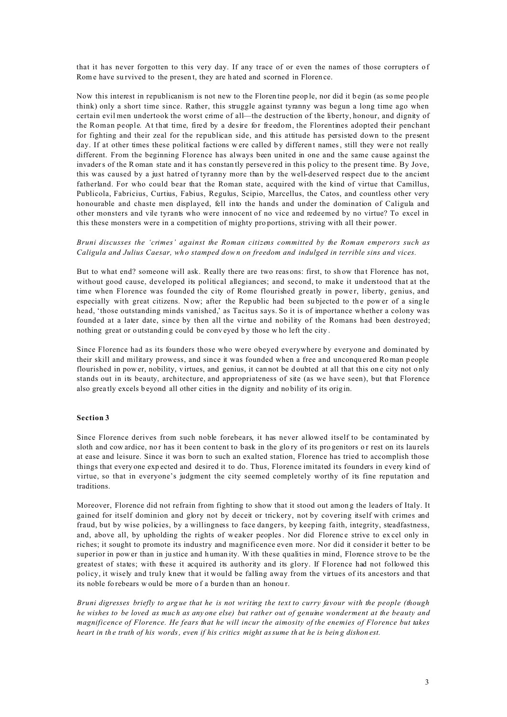that it has never forgotten to this very day. If any trace of or even the names of those corrupters of Rome have su rvived to the presen t, they are h ated and scorned in Floren ce.

Now this interest in republicanism is not new to the Floren tine peop le, nor did it b egin (as so me peo ple think) only a short time since. Rather, this struggle against tyranny was begun a long time ago when certain evil men undertook the worst crime of all—the destruction of the liberty, honour, and dignity of the Roman people. At that time, fired by a desire for freedom, the Florentines adopted their penchant for fighting and their zeal for the republican side, and this attitude has persisted down to the present day. If at other times these political factions were called by different names, still they were not really different. From the beginning Florence has always been united in one and the same cause against the invaders of the Roman state and it has constantly persevered in this policy to the present time. By Jove, this was caused by a just hatred of tyranny more than by the well-deserved respect due to the ancient fatherland. For who could bear that the Roman state, acquired with the kind of virtue that Camillus, Publicola, Fabricius, Curtius, Fabius, Regulus, Scipio, Marcellus, the Catos, and countless other very honourable and chaste men displayed, fell into the hands and under the domination of Caligula and other monsters and vile tyrants who were innocent of no vice and redeemed by no virtue? To excel in this these monsters were in a competition of mighty pro portions, striving with all their power.

## *Bruni discusses the 'crimes' against the Roman citizens committed by the Roman emperors such as Caligula and Julius Caesar, wh o stamped down on freedom and indulged in terrible sins and vices.*

But to what end? someone will ask. Really there are two reas ons: first, to show that Florence has not, without good cause, developed its political allegiances; and second, to make it understood that at the time when Florence was founded the city of Rome flourished greatly in power, liberty, genius, and especially with great citizens. Now; after the Republic had been subjected to the power of a single head, 'those outstanding minds vanished,' as Tacitus says. So it is of importance whether a colony was founded at a later date, since by then all the virtue and nobility of the Romans had been destroyed; nothing great or outstanding could be conveyed by those who left the city.

Since Florence had as its founders those who were obeyed everywhere by everyone and dominated by their skill and military prowess, and since it was founded when a free and unconqu ered Ro man p eople flourished in power, nobility, virtues, and genius, it can not be doubted at all that this one city not only stands out in its beauty, architecture, and appropriateness of site (as we have seen), but that Florence also grea tly excels b eyond all other cities in the dignity and no bility of its orig in.

#### **Section 3**

Since Florence derives from such noble forebears, it has never allowed itself to be contaminated by sloth and cow ardice, nor has it been content to bask in the glory of its progenitors or rest on its laurels at ease and leisure. Since it was born to such an exalted station, Florence has tried to accomplish those things that every one exp ected and desired it to do. Thus, Florence imitated its founders in every kind of virtue, so that in everyone's judgment the city seemed completely worthy of its fine reputation and traditions.

Moreover, Florence did not refrain from fighting to show that it stood out amon g the leaders of Italy. It gained for itself dominion and glory not by deceit or trickery, not by covering itself with crimes and fraud, but by wise policies, by a willingness to face dangers, by keeping faith, integrity, steadfastness, and, above all, by upholding the rights of weaker peoples. Nor did Florence strive to excel only in riches; it sought to promote its industry and magnificence even more. Nor did it consider it better to be superior in power than in justice and humanity. With these qualities in mind, Florence strove to be the greatest of states; with these it acquired its authority and its glory. If Florence had not followed this policy, it wisely and truly knew that it would be falling away from the virtues of its ancestors and that its noble fo rebears w ould be more of a burden than an honour.

*Bruni digresses briefly to arg ue that he is not writing the text to curry favour with the people (though he wishes to be loved as muc h as any one else) but rather out of genuine wonderment at the beauty and magnificence of Florence. He fears that he will incur the aimosity of the enemies of Florence but takes heart in th e truth of his words, even if his critics might assume th at he is bein g dishon est.*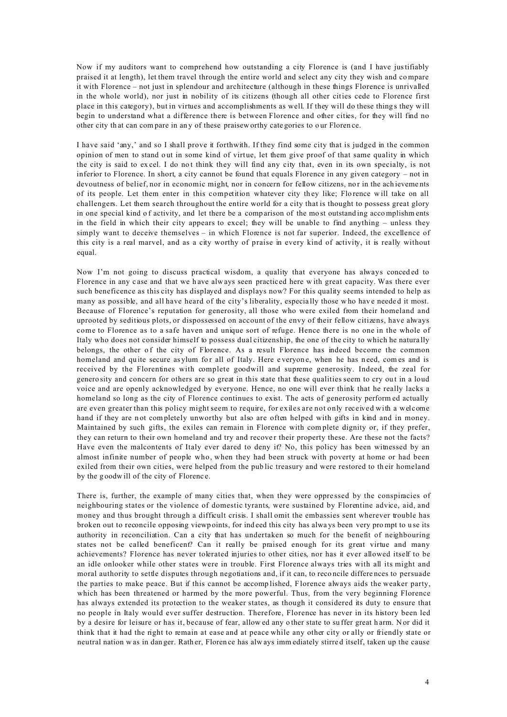Now if my auditors want to comprehend how outstanding a city Florence is (and I have justifiably praised it at length), let them travel through the entire world and select any city they wish and co mpare it with Florence – not just in splendour and architecture (although in these things Florence is unrivalled in the whole world), nor just in nobility of its citizens (though all other cities cede to Florence first place in this category), but in virtues and accomplishments as well. If they will do these thing s they w ill begin to understand what a difference there is between Florence and other cities, for they will find no other city th at can com pare in an y of these praisew orthy cate gories to o ur Floren ce.

I have said 'any,' and so I shall prove it forthwith. If they find some city that is judged in the common opinion of men to stand o ut in some kind of virtue, let them give proof of that same quality in which the city is said to excel. I do not think they will find any city that, even in its own specialty, is not inferior to Florence. In short, a city cannot be found that equals Florence in any given category – not in devoutness of belief, nor in economic might, nor in concern for fellow citizens, nor in the ach ievements of its people. Let them enter in this competition whatever city th ey like; Flo rence w ill take on all challengers. Let them search throughout the entire world for a city that is thought to possess great glory in one special kind of activity, and let there be a comparison of the most outstanding accomplishments in the field in which their city appears to excel; they will be unable to find anything – unless they simply want to deceive themselves – in which Florence is not far superior. Indeed, the excellence of this city is a real marvel, and as a city worthy of praise in every kind of activity, it is really without equal.

Now I'm not going to discuss practical wisdom, a quality that everyone has always conceded to Florence in any case and that we have always seen practiced here with great capacity. Was there ever such beneficence as this city has displayed and displays now? For this quality seems intended to help as many as possible, and all have heard of the city's liberality, especially those who have needed it most. Because of Florence's reputation for generosity, all those who were exiled from their homeland and uprooted by seditious plots, or dispossessed on account of the envy of their fellow citizens, have always come to Florence as to a safe haven and unique sort of refuge. Hence there is no one in the whole of Italy who does not consider himself to possess dual citizenship, the one of the city to which he natura lly belongs, the other of the city of Florence. As a result Florence has indeed become the common homeland and quite secure as ylum for all of Italy. Here everyone, when he has need, comes and is received by the Florentines with complete goodwill and supreme generosity. Indeed, the zeal for genero sity and concern for others are so great in this state that these qualities seem to cry ou t in a loud voice and are openly acknowledged by everyone. Hence, no one will ever think that he really lacks a homeland so long as the city of Florence continues to exist. The acts of generosity perform ed actually are even greater than this policy might seem to require, for exiles are not only received with a welcome hand if they are not completely unworthy but also are often helped with gifts in kind and in money. Maintained by such gifts, the exiles can remain in Florence with com plete dignity or, if they prefer, they can return to their own homeland and try and recover their property these. Are these not the facts? Have even the malcontents of Italy ever dared to deny it? No, this policy has been witnessed by an almost infinite number of people who, when they had been struck with poverty at home or had been exiled from their own cities, were helped from the pub lic treasury and were restored to th eir homeland by the g oodw ill of the city of Florenc e.

There is, further, the example of many cities that, when they were oppre ssed by the conspiracies of neighbouring states or the violence of domestic tyrants, were sustained by Florentine advice, aid, and money and thus brought through a difficult crisis. I shall omit the embassies sent wherever trouble has broken out to reconcile opposing viewpoints, for indeed this city has always been very prompt to use its authority in reconciliation. Can a city that has undertaken so much for the benefit of neighbouring states not be called beneficent? Can it really be praised enough for its great virtue and many achievements? Florence has never tolerated injuries to other cities, nor has it ever allowed itself to be an idle onlooker while other states were in trouble. First Florence always tries with all its might and moral authority to settle disputes through negotiations and, if it can, to reco ncile differe nces to persuade the parties to make peace. But if this cannot be accomp lished, Florence always aids the weaker party, which has been threatened or harmed by the more powerful. Thus, from the very beginning Florence has always extended its protection to the weaker states, as though it considered its duty to ensure that no people in Italy would ever suffer destruction. Therefore, Florence has never in its history been led by a desire for leisure or has it, because of fear, allow ed any o ther state to su ffer great h arm. N or did it think that it had the right to remain at ease and at peace while any other city or ally or friendly state or neutral nation w as in dan ger. Rath er, Floren ce has alw ays imm ediately stirre d itself, taken up the cause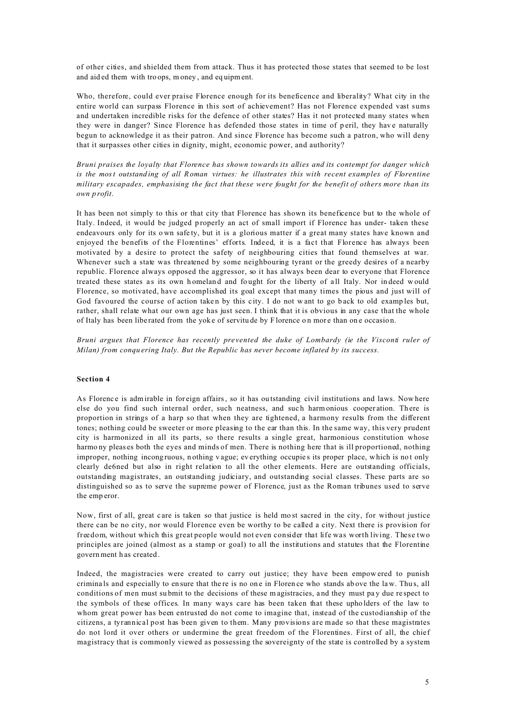of other cities, and shielded them from attack. Thus it has protected those states that seemed to be lost and aid ed them with tro ops, money, and eq uipm ent.

Who, therefore, could ever praise Florence enough for its beneficence and liberality? What city in the entire world can surpass Florence in this sort of achievement? Has not Florence expended vast sums and undertaken incredible risks for the defence of other states? Has it not protected many states when they were in danger? Since Florence has defended those states in time of peril, they have naturally begun to acknowledge it as their patron. And since Florence has become such a patron, who will deny that it surpasses other cities in dignity, might, economic power, and authority?

*Bruni praises the loyalty that Florence has shown towards its allies and its contempt for danger which is the most outstand ing of all Roman virtues: he illustrates this with recent examples of Florentine military escapades, emphasising the fact that these were fought for the benefit of others more than its own p rofit*.

It has been not simply to this or that city that Florence has shown its beneficence but to the whole of Italy. Indeed, it would be judged properly an act of small import if Florence has under- taken these endeavours only for its o wn safe ty, but it is a glorious matter if a great many states have known and enjoyed the benefits of the Florentines' efforts. Indeed, it is a fact that Florence has always been motivated by a desire to protect the safety of neighbouring cities that found themselves at war. Whenever such a state was threatened by some neighbouring tyrant or the greedy desires of a nearby republic. Florence always opposed the aggressor, so it has always been dear to everyone that Florence treated these states as its own homeland and fought for the liberty of all Italy. Nor indeed would Florence, so motivated, have accomplished its goal except that many times the pious and just will of God favoured the course of action taken by this city. I do not want to go back to old examples but, rather, shall relate what our own age has just seen. I think that it is obvious in any case that the whole of Italy has been liberated from the yoke of servitude by F lorence on more than one occasion.

*Bruni argues that Florence has recently pre vented the duke of Lombardy (ie the Visconti ruler of Milan) from conqu ering Italy. But the Republic has never become inflated by its success.*

# **Section 4**

As Florenc e is admirable in for eign affairs, so it has ou tstanding civil institutions and laws. Now here else do you find such internal order, such neatness, and such harm onious cooperation. There is proportion in strings of a harp so that when they are tightened, a harmony results from the different tones; nothing could be sweeter or more pleasing to the ear than this. In the same way, this very prudent city is harmonized in all its parts, so there results a single great, harmonious constitution whose harmo ny pleas es both the eyes and minds of men. There is nothing here that is ill proportioned, nothing improper, nothing incongruous, nothing vague; everything occupies its proper place, which is not only clearly de6ned but also in right relation to all the other elements. Here are outstanding officials, outstanding magistrates, an outstanding judiciary, and outstanding social classes. These parts are so distinguished so as to serve the supreme power of Florence, just as the Roman tribunes used to serve the emp eror.

Now, first of all, great c are is taken so that justice is held mo st sacred in the city, for without justice there can be no city, nor would Florence even be worthy to be called a city. Next there is provision for freedom, without which this great people would not even consider that life was worth living. These two principles are joined (almost as a stamp or goal) to all the institutions and statutes that the Florentine govern ment h as created .

Indeed, the magistracies were created to carry out justice; they have been empow ered to punish criminals and especially to ensure that there is no one in Florence who stands above the law. Thus, all conditions of men must su bmit to the decisions of these m agistracies, a nd they must pa y due re spect to the symbols of these offices. In many ways care has been taken that these upho lders of the law to whom great power has been entrusted do not come to imagine that, instead of the custodianship of the citizens, a tyrannical post has been given to them. Many provisions are made so that these magistrates do not lord it over others or undermine the great freedom of the Florentines. First of all, the chief magistracy that is commonly viewed as possessing the sovereignty of the state is controlled by a system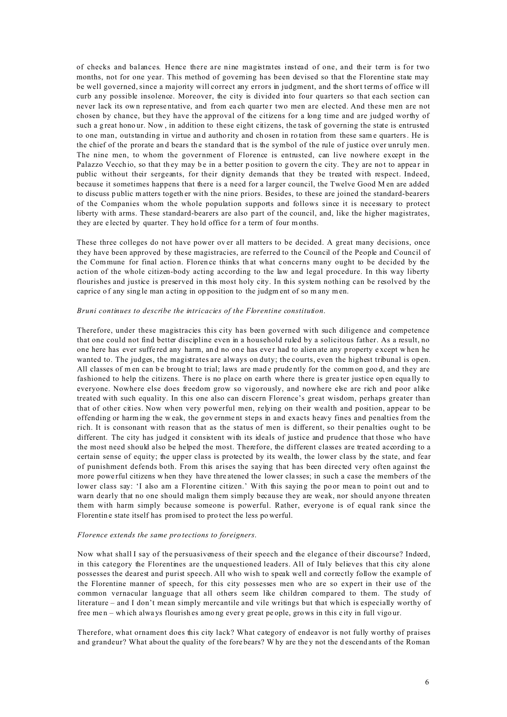of checks and balances. Hence there are nine magistrates instead of one, and their term is for two months, not for one year. This method of governing has been devised so that the Florentine state may be well governed, since a majority will correct any errors in judgment, and the short terms of office w ill curb any possible insolence. Moreover, the city is divided into four quarters so that each section can never lack its ow n represe ntative, and from ea ch quarte r two men are elected. And these men are not chosen by chance, but they have the approval of the citizens for a long time and are judged worthy of such a g reat hono ur. Now , in addition to these eight citizens, the task of governing the state is entrusted to one man, outstanding in virtue an d autho rity and ch osen in ro tation from these sam e quarters. He is the chief of the prorate and bears the standard that is the symbol of the rule of justice over unruly men. The nine men, to whom the government of Florence is entrusted, can live nowhere except in the Palazzo Vecchio, so that they may be in a better position to govern the city. They are not to appear in public without their sergeants, for their dignity demands that they be treated with respect. Indeed, because it sometimes happens that there is a need for a larger council, the Twelve Good M en are added to discuss p ublic matters togeth er with the nine priors. Besides, to these are joined the standard-bearers of the Companies whom the whole population supports and follows since it is necessary to protect liberty with arms. These standard-bearers are also part of the council, and, like the higher magistrates, they are elected by quarter. They hold office for a term of four months.

These three colleges do not have power over all matters to be decided. A great many decisions, once they have been approved by these magistracies, are referred to the Council of the People and Council of the Commune for final actio n. Floren ce thinks th at what c oncerns many ought to be decided by the action of the whole citizen-body acting according to the law and legal procedure. In this way liberty flourishes and justice is preserved in this most holy city. In this system nothing can be resolved by the caprice o f any sing le man a cting in op position to the judgm ent of so m any men.

#### *Bruni continues to describe the intricacies of the Florentine constitution*.

Therefore, under these magistracies this city has been governed with such diligence and competence that one could not find better discipline even in a household ruled by a solicitous father. As a result, no one here has ever suffe red any harm, an d no on e has eve r had to alien ate any p roperty e xcept w hen he wanted to. The judges, the magistrates are always on duty; the courts, even the highest tribunal is open. All classes of m en can be brought to trial; laws are made prudently for the comm on good, and they are fashioned to help the citizens. There is no place on earth where there is grea ter justice op en equa lly to everyone. Nowhere else does freedom grow so vigorously, and nowhere else are rich and poor alike treated with such equality. In this one also can discern Florence's great wisdom, perhaps greater than that of other cities. Now when very powerful men, relying on their wealth and position, appear to be offending or harm ing the w eak, the gov ernme nt steps in and exacts heavy fines and penalties from the rich. It is consonant with reason that as the status of men is different, so their penalties ought to be different. The city has judged it consistent with its ideals of justice and prudence that those who have the most need should also be helped the most. Therefore, the different classes are treated according to a certain sense of equity; the upper class is protected by its wealth, the lower class by the state, and fear of punishment defends both. From this arises the saying that has been directed very often against the more powe rful citizens w hen they have thre atened the lower cla sses; in such a case the members of the lower class say: 'I also am a Florentine citizen.' With this saying the poor mean to point out and to warn dearly that no one should malign them simply because they are weak, nor should anyone threaten them with harm simply because someone is powerful. Rather, everyone is of equal rank since the Florentin e state itself has promised to pro tect the less po werful.

## *Florence extends the same pro tections to foreigners*.

Now what shall I say of the persuasiveness of their speech and the elegance of their discourse? Indeed, in this category the Florentines are the unquestioned leaders. All of Italy believes that this city alone possesses the dearest and purist speech. All who wish to speak well and correctly follow the example of the Florentine manner of speech, for this city possesses men who are so expert in their use of the common vernacular language that all others seem like children compared to them. The study of literature – and I don't mean simply mercantile and vile writings but that which is especially worthy of free me n – wh ich alwa ys flourish es amo ng ever y great pe ople, gro ws in this c ity in full vigo ur.

Therefore, what ornament does this city lack? What category of endeavor is not fully worthy of praises and grandeur? What about the quality of the fore bears? W hy are the y not the d escend ants of the Roman